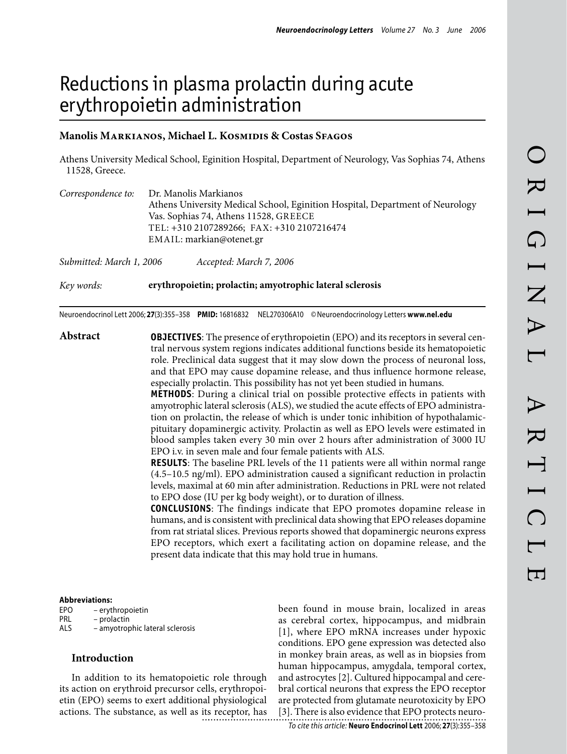# Reductions in plasma prolactin during acute erythropoietin administration

## **Manolis Markianos, Michael L. Kosmidis & Costas Sfagos**

Athens University Medical School, Eginition Hospital, Department of Neurology, Vas Sophias 74, Athens 11528, Greece.

| Correspondence to:       | Dr. Manolis Markianos                                                                                                                                                                            |  |  |  |
|--------------------------|--------------------------------------------------------------------------------------------------------------------------------------------------------------------------------------------------|--|--|--|
|                          | Athens University Medical School, Eginition Hospital, Department of Neurology<br>Vas. Sophias 74, Athens 11528, GREECE<br>TEL: +310 2107289266; FAX: +310 2107216474<br>EMAIL: markian@otenet.gr |  |  |  |
|                          |                                                                                                                                                                                                  |  |  |  |
|                          |                                                                                                                                                                                                  |  |  |  |
|                          |                                                                                                                                                                                                  |  |  |  |
| Submitted: March 1, 2006 | Accepted: March 7, 2006                                                                                                                                                                          |  |  |  |

Neuroendocrinol Lett 2006; **27**(3):355–358 **PMID:** 16816832 NEL270306A10 ©Neuroendocrinology Letters **www.nel.edu**

*Key words:* **erythropoietin; prolactin; amyotrophic lateral sclerosis**

**Abstract OBJECTIVES**: The presence of erythropoietin (EPO) and its receptors in several central nervous system regions indicates additional functions beside its hematopoietic role. Preclinical data suggest that it may slow down the process of neuronal loss, and that EPO may cause dopamine release, and thus influence hormone release, especially prolactin. This possibility has not yet been studied in humans.

**METHODS**: During a clinical trial on possible protective effects in patients with amyotrophic lateral sclerosis (ALS), we studied the acute effects of EPO administration on prolactin, the release of which is under tonic inhibition of hypothalamicpituitary dopaminergic activity. Prolactin as well as EPO levels were estimated in blood samples taken every 30 min over 2 hours after administration of 3000 IU EPO i.v. in seven male and four female patients with ALS.

**RESULTS**: The baseline PRL levels of the 11 patients were all within normal range (4.5–10.5 ng/ml). EPO administration caused a significant reduction in prolactin levels, maximal at 60 min after administration. Reductions in PRL were not related to EPO dose (IU per kg body weight), or to duration of illness.

**CONCLUSIONS**: The findings indicate that EPO promotes dopamine release in humans, and is consistent with preclinical data showing that EPO releases dopamine from rat striatal slices. Previous reports showed that dopaminergic neurons express EPO receptors, which exert a facilitating action on dopamine release, and the present data indicate that this may hold true in humans.

#### **Abbreviations:**

| EPO | - erythropoietin                |
|-----|---------------------------------|
| PRL | – prolactin                     |
| ALS | - amyotrophic lateral sclerosis |

## **Introduction**

In addition to its hematopoietic role through its action on erythroid precursor cells, erythropoietin (EPO) seems to exert additional physiological actions. The substance, as well as its receptor, has been found in mouse brain, localized in areas as cerebral cortex, hippocampus, and midbrain [1], where EPO mRNA increases under hypoxic conditions. EPO gene expression was detected also in monkey brain areas, as well as in biopsies from human hippocampus, amygdala, temporal cortex, and astrocytes [2]. Cultured hippocampal and cerebral cortical neurons that express the EPO receptor are protected from glutamate neurotoxicity by EPO [3]. There is also evidence that EPO protects neuro-

*To cite this article:* **Neuro Endocrinol Lett** 2006; **27**(3):355–358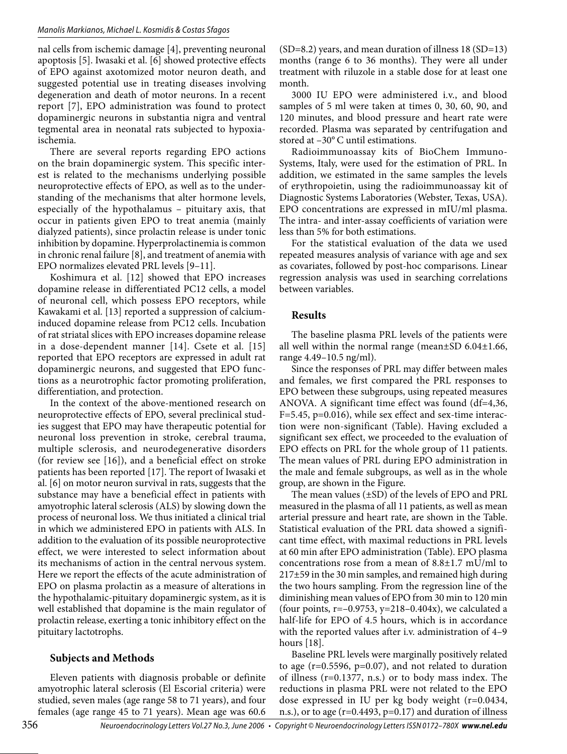## *Manolis Markianos, Michael L. Kosmidis & Costas Sfagos*

nal cells from ischemic damage [4], preventing neuronal apoptosis [5]. Iwasaki et al. [6] showed protective effects of EPO against axotomized motor neuron death, and suggested potential use in treating diseases involving degeneration and death of motor neurons. In a recent report [7], EPO administration was found to protect dopaminergic neurons in substantia nigra and ventral tegmental area in neonatal rats subjected to hypoxiaischemia.

There are several reports regarding EPO actions on the brain dopaminergic system. This specific interest is related to the mechanisms underlying possible neuroprotective effects of EPO, as well as to the understanding of the mechanisms that alter hormone levels, especially of the hypothalamus – pituitary axis, that occur in patients given EPO to treat anemia (mainly dialyzed patients), since prolactin release is under tonic inhibition by dopamine. Hyperprolactinemia is common in chronic renal failure [8], and treatment of anemia with EPO normalizes elevated PRL levels [9–11].

Koshimura et al. [12] showed that EPO increases dopamine release in differentiated PC12 cells, a model of neuronal cell, which possess EPO receptors, while Kawakami et al. [13] reported a suppression of calciuminduced dopamine release from PC12 cells. Incubation of rat striatal slices with EPO increases dopamine release in a dose-dependent manner [14]. Csete et al. [15] reported that EPO receptors are expressed in adult rat dopaminergic neurons, and suggested that EPO functions as a neurotrophic factor promoting proliferation, differentiation, and protection.

In the context of the above-mentioned research on neuroprotective effects of EPO, several preclinical studies suggest that EPO may have therapeutic potential for neuronal loss prevention in stroke, cerebral trauma, multiple sclerosis, and neurodegenerative disorders (for review see [16]), and a beneficial effect on stroke patients has been reported [17]. The report of Iwasaki et al. [6] on motor neuron survival in rats, suggests that the substance may have a beneficial effect in patients with amyotrophic lateral sclerosis (ALS) by slowing down the process of neuronal loss. We thus initiated a clinical trial in which we administered EPO in patients with ALS. In addition to the evaluation of its possible neuroprotective effect, we were interested to select information about its mechanisms of action in the central nervous system. Here we report the effects of the acute administration of EPO on plasma prolactin as a measure of alterations in the hypothalamic-pituitary dopaminergic system, as it is well established that dopamine is the main regulator of prolactin release, exerting a tonic inhibitory effect on the pituitary lactotrophs.

## **Subjects and Methods**

Eleven patients with diagnosis probable or definite amyotrophic lateral sclerosis (El Escorial criteria) were studied, seven males (age range 58 to 71 years), and four females (age range 45 to 71 years). Mean age was 60.6  $(SD=8.2)$  years, and mean duration of illness 18  $(SD=13)$ months (range 6 to 36 months). They were all under treatment with riluzole in a stable dose for at least one month.

3000 IU EPO were administered i.v., and blood samples of 5 ml were taken at times 0, 30, 60, 90, and 120 minutes, and blood pressure and heart rate were recorded. Plasma was separated by centrifugation and stored at –30° C until estimations.

Radioimmunoassay kits of BioChem Immuno-Systems, Italy, were used for the estimation of PRL. In addition, we estimated in the same samples the levels of erythropoietin, using the radioimmunoassay kit of Diagnostic Systems Laboratories (Webster, Texas, USA). EPO concentrations are expressed in mIU/ml plasma. The intra- and inter-assay coefficients of variation were less than 5% for both estimations.

For the statistical evaluation of the data we used repeated measures analysis of variance with age and sex as covariates, followed by post-hoc comparisons. Linear regression analysis was used in searching correlations between variables.

## **Results**

The baseline plasma PRL levels of the patients were all well within the normal range (mean $\pm$ SD 6.04 $\pm$ 1.66, range 4.49–10.5 ng/ml).

Since the responses of PRL may differ between males and females, we first compared the PRL responses to EPO between these subgroups, using repeated measures ANOVA. A significant time effect was found (df=4,36, F=5.45, p=0.016), while sex effect and sex-time interaction were non-significant (Table). Having excluded a significant sex effect, we proceeded to the evaluation of EPO effects on PRL for the whole group of 11 patients. The mean values of PRL during EPO administration in the male and female subgroups, as well as in the whole group, are shown in the Figure.

The mean values (±SD) of the levels of EPO and PRL measured in the plasma of all 11 patients, as well as mean arterial pressure and heart rate, are shown in the Table. Statistical evaluation of the PRL data showed a significant time effect, with maximal reductions in PRL levels at 60 min after EPO administration (Table). EPO plasma concentrations rose from a mean of 8.8±1.7 mU/ml to 217±59 in the 30 min samples, and remained high during the two hours sampling. From the regression line of the diminishing mean values of EPO from 30 min to 120 min (four points,  $r=-0.9753$ ,  $y=218-0.404x$ ), we calculated a half-life for EPO of 4.5 hours, which is in accordance with the reported values after i.v. administration of 4–9 hours [18].

Baseline PRL levels were marginally positively related to age  $(r=0.5596, p=0.07)$ , and not related to duration of illness (r=0.1377, n.s.) or to body mass index. The reductions in plasma PRL were not related to the EPO dose expressed in IU per kg body weight (r=0.0434, n.s.), or to age (r=0.4493, p=0.17) and duration of illness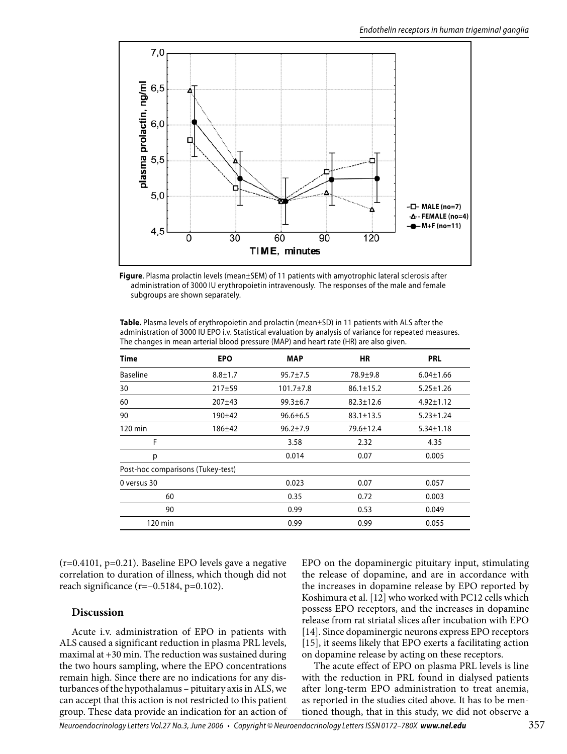

**Figure**. Plasma prolactin levels (mean±SEM) of 11 patients with amyotrophic lateral sclerosis after administration of 3000 IU erythropoietin intravenously. The responses of the male and female subgroups are shown separately.

**Table.** Plasma levels of erythropoietin and prolactin (mean±SD) in 11 patients with ALS after the administration of 3000 IU EPO i.v. Statistical evaluation by analysis of variance for repeated measures. The changes in mean arterial blood pressure (MAP) and heart rate (HR) are also given.

| Time                              | <b>EPO</b>    | <b>MAP</b>      | <b>HR</b>       | <b>PRL</b>      |
|-----------------------------------|---------------|-----------------|-----------------|-----------------|
| <b>Baseline</b>                   | $8.8 \pm 1.7$ | $95.7 \pm 7.5$  | $78.9 + 9.8$    | $6.04 \pm 1.66$ |
| 30                                | $217 + 59$    | $101.7 \pm 7.8$ | $86.1 \pm 15.2$ | $5.25 \pm 1.26$ |
| 60                                | 207±43        | $99.3 \pm 6.7$  | $82.3 \pm 12.6$ | $4.92 \pm 1.12$ |
| 90                                | 190±42        | $96.6 \pm 6.5$  | $83.1 \pm 13.5$ | $5.23 \pm 1.24$ |
| $120 \text{ min}$                 | 186±42        | $96.2 \pm 7.9$  | 79.6±12.4       | $5.34 \pm 1.18$ |
| F                                 |               | 3.58            | 2.32            | 4.35            |
| р                                 |               | 0.014           | 0.07            | 0.005           |
| Post-hoc comparisons (Tukey-test) |               |                 |                 |                 |
| 0 versus 30                       |               | 0.023           | 0.07            | 0.057           |
| 60                                |               | 0.35            | 0.72            | 0.003           |
| 90                                |               | 0.99            | 0.53            | 0.049           |
| $120 \text{ min}$                 |               | 0.99            | 0.99            | 0.055           |

 $(r=0.4101, p=0.21)$ . Baseline EPO levels gave a negative correlation to duration of illness, which though did not reach significance ( $r=-0.5184$ ,  $p=0.102$ ).

## **Discussion**

Acute i.v. administration of EPO in patients with ALS caused a significant reduction in plasma PRL levels, maximal at +30 min. The reduction was sustained during the two hours sampling, where the EPO concentrations remain high. Since there are no indications for any disturbances of the hypothalamus – pituitary axis in ALS, we can accept that this action is not restricted to this patient group. These data provide an indication for an action of EPO on the dopaminergic pituitary input, stimulating the release of dopamine, and are in accordance with the increases in dopamine release by EPO reported by Koshimura et al. [12] who worked with PC12 cells which possess EPO receptors, and the increases in dopamine release from rat striatal slices after incubation with EPO [14]. Since dopaminergic neurons express EPO receptors [15], it seems likely that EPO exerts a facilitating action on dopamine release by acting on these receptors.

The acute effect of EPO on plasma PRL levels is line with the reduction in PRL found in dialysed patients after long-term EPO administration to treat anemia, as reported in the studies cited above. It has to be mentioned though, that in this study, we did not observe a